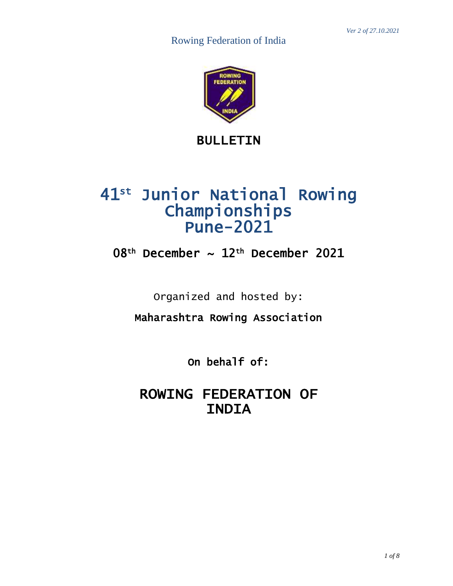

BULLETIN

# 41st Junior National Rowing Championships Pune-2021

## 08th December ~ 12th December 2021

Organized and hosted by:

Maharashtra Rowing Association Ξ

> On behalf of:

ROWING FEDERATION OF INDIA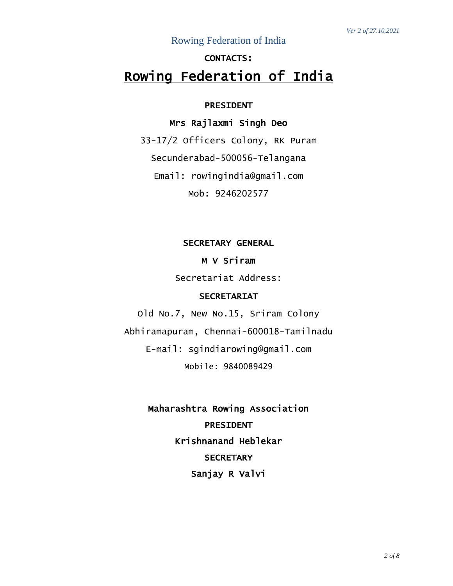### Rowing Federation of India

### CONTACTS:

### Rowing Federation of India

#### PRESIDENT

### Mrs Rajlaxmi Singh Deo

33-17/2 Officers Colony, RK Puram Secunderabad-500056-Telangana Email: rowingindia@gmail.com Mob: 9246202577

#### SECRETARY GENERAL

#### M V Sriram

Secretariat Address:

### SECRETARIAT

Old No.7, New No.15, Sriram Colony Abhiramapuram, Chennai-600018-Tamilnadu E-mail: [sgindiarowing@gmail.com](mailto:sgindiarowing@gmail.com) Mobile: 9840089429

> Maharashtra Rowing Association PRESIDENT Krishnanand Heblekar **SECRETARY** Sanjay R Valvi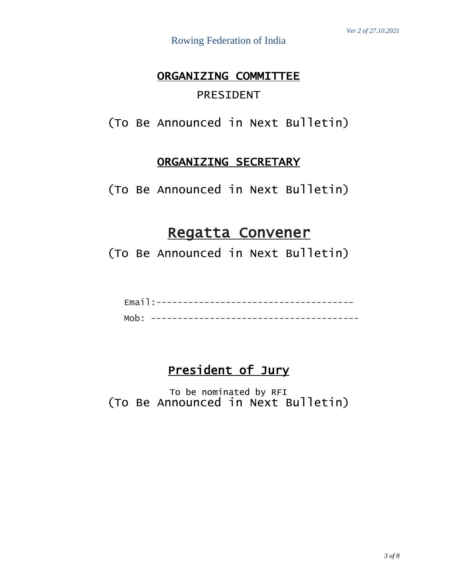### ORGANIZING COMMITTEE PRESIDENT

(To Be Announced in Next Bulletin)

### ORGANIZING SECRETARY

(To Be Announced in Next Bulletin)

## Regatta Convener

(To Be Announced in Next Bulletin)

### President of Jury

To be nominated by RFI (To Be Announced in Next Bulletin)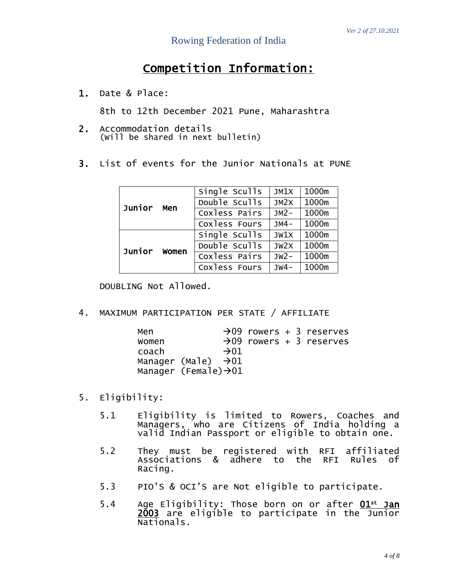## Competition Information:

1. Date & Place:

8th to 12th December 2021 Pune, Maharashtra

- 2. Accommodation details (Will be shared in next bulletin)
- 3. List of events for the Junior Nationals at PUNE

|        | Men   | Single Sculls | JM1X       | 1000m |
|--------|-------|---------------|------------|-------|
| Junior |       | Double Sculls | $J$ M $2X$ | 1000m |
|        |       | Coxless Pairs | $JM2-$     | 1000m |
|        |       | Coxless Fours | $JMA-$     | 1000m |
|        | Women | Single Sculls | JW1X       | 1000m |
| Junior |       | Double Sculls | JW2X       | 1000m |
|        |       | Coxless Pairs | $JW2-$     | 1000m |
|        |       | Coxless Fours | $JW4-$     | 1000m |

DOUBLING Not Allowed.

4. MAXIMUM PARTICIPATION PER STATE / AFFILIATE

| Men   |                                   |  | $\rightarrow$ 09 rowers + 3 reserves |
|-------|-----------------------------------|--|--------------------------------------|
| Women |                                   |  | $\rightarrow$ 09 rowers + 3 reserves |
| coach | $\rightarrow 01$                  |  |                                      |
|       | Manager (Male) $\rightarrow$ 01   |  |                                      |
|       | Manager (Female) $\rightarrow$ 01 |  |                                      |

- 5. Eligibility:
	- 5.1 Eligibility is limited to Rowers, Coaches and Managers, who are Citizens of India holding a valid Indian Passport or eligible to obtain one.
	- 5.2 They must be registered with RFI affiliated Associations & adhere to the RFI Rules of Racing.
	- 5.3 PIO'S & OCI'S are Not eligible to participate.
	- 5.4 Age Eligibility: Those born on or after 01<sup>st</sup> Jan 2003 are eligible to participate in the Junior Nationals.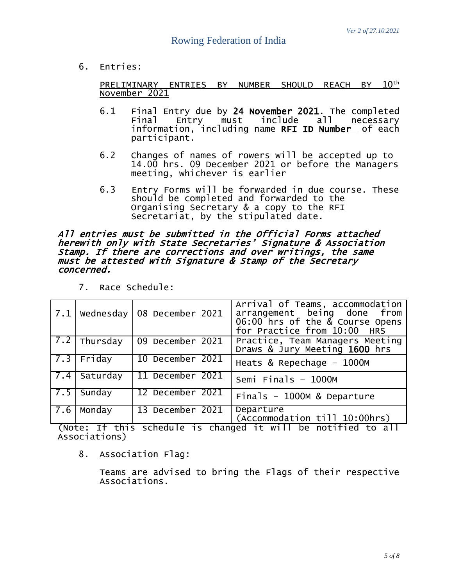6. Entries:

<u>PRELIMINARY ENTRIES BY NUMBER SHOULD REACH BY  $10^{\rm th}$ </u> November 2021

- 6.1 Final Entry due by 24 November 2021. The completed<br>Final Entry must include all necessarv Final Entry must include all necessary information, including name <u>RFI ID Number</u> of each participant.
- 6.2 Changes of names of rowers will be accepted up to 14.00 hrs. 09 December 2021 or before the Managers meeting, whichever is earlier
- 6.3 Entry Forms will be forwarded in due course. These should be completed and forwarded to the Organising Secretary & a copy to the RFI Secretariat, by the stipulated date.

All entries must be submitted in the Official Forms attached herewith only with State Secretaries' Signature & Association Stamp. If there are corrections and over writings, the same must be attested with Signature & Stamp of the Secretary concerned.

|                                                                    |                        | $\mid$ 7.1 $\mid$ Wednesday $\mid$ 08 December 2021 | Arrival of Teams, accommodation<br>arrangement being done from<br>$06:00$ hrs of the $\&$ Course Opens<br>for Practice from 10:00 HRS |  |
|--------------------------------------------------------------------|------------------------|-----------------------------------------------------|---------------------------------------------------------------------------------------------------------------------------------------|--|
|                                                                    | $\boxed{7.2}$ Thursday | 09 December 2021                                    | Practice, Team Managers Meeting<br>Draws & Jury Meeting 1600 hrs                                                                      |  |
|                                                                    | $7.3$ Friday           | 10 December 2021                                    | Heats & Repechage $-1000M$                                                                                                            |  |
| 7.4                                                                | Saturday               | 11 December 2021                                    | Semi Finals $-$ 1000M                                                                                                                 |  |
| $\sqrt{7.5}$                                                       | Sunday                 | 12 December 2021                                    | Finals $-$ 1000M & Departure                                                                                                          |  |
| 7.6                                                                | Monday                 | 13 December 2021                                    | Departure<br>(Accommodation till 10:00hrs)                                                                                            |  |
| $(Notor. If this schoolula is changed if will be notified to all)$ |                        |                                                     |                                                                                                                                       |  |

7. Race Schedule:

(Note: If this schedule is changed it will be notified to all Associations)

8. Association Flag:

Teams are advised to bring the Flags of their respective Associations.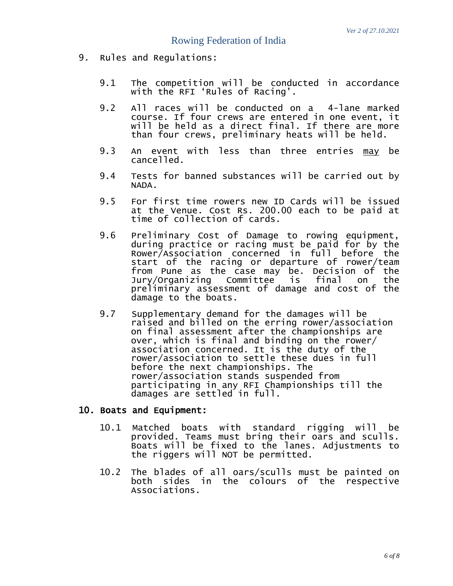- 9. Rules and Regulations:
	- 9.1 The competition will be conducted in accordance with the RFI 'Rules of Racing'.
	- 9.2 All races will be conducted on a 4-lane marked course. If four crews are entered in one event, it will be held as a direct final. If there are more than four crews, preliminary heats will be held.
	- 9.3 An event with less than three entries may be cancelled.
	- 9.4 Tests for banned substances will be carried out by NADA.
	- 9.5 For first time rowers new ID Cards will be issued at the Venue. Cost Rs. 200.00 each to be paid at time of collection of cards.
	- 9.6 Preliminary Cost of Damage to rowing equipment, during practice or racing must be paid for by the Rower/Association concerned in full before the start of the racing or departure of rower/team from Pune as the case may be. Decision of the Jury/Organizing Committee is final on the preliminary assessment of damage and cost of the damage to the boats.
	- 9.7 Supplementary demand for the damages will be raised and billed on the erring rower/association on final assessment after the championships are over, which is final and binding on the rower/ association concerned. It is the duty of the rower/association to settle these dues in full before the next championships. The rower/association stands suspended from participating in any RFI Championships till the damages are settled in full.

#### 10. Boats and Equipment:

- 10.1 Matched boats with standard rigging will be provided. Teams must bring their oars and sculls. Boats will be fixed to the lanes. Adjustments to the riggers will NOT be permitted.
- 10.2 The blades of all oars/sculls must be painted on both sides in the colours of the respective Associations.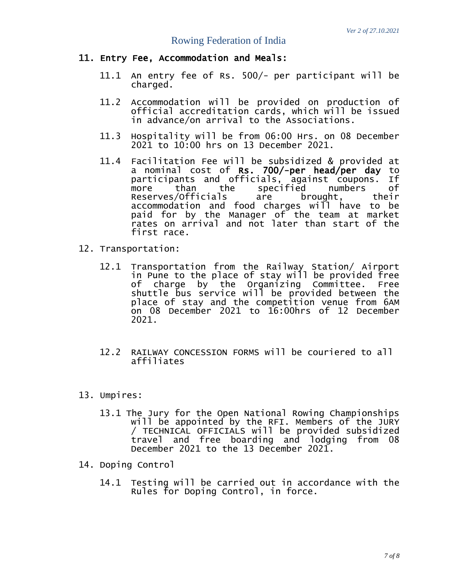### Rowing Federation of India

#### 11. Entry Fee, Accommodation and Meals:

- 11.1 An entry fee of Rs. 500/- per participant will be charged.
- 11.2 Accommodation will be provided on production of official accreditation cards, which will be issued in advance/on arrival to the Associations.
- 11.3 Hospitality will be from 06:00 Hrs. on 08 December 2021 to 10:00 hrs on 13 December 2021.
- 11.4 Facilitation Fee will be subsidized & provided at a nominal cost of **Rs. 700/-per head/per day** to<br>participants and officials, against coupons. If participants and officials, against coupons. If more than the specified numbers of Reserves/Officials are brought, their accommodation and food charges will have to be paid for by the Manager of the team at market rates on arrival and not later than start of the first race.
- 12. Transportation:
	- 12.1 Transportation from the Railway Station/ Airport in Pune to the place of stay will be provided free of charge by the Organizing Committee. Free shuttle bus service will be provided between the place of stay and the competition venue from 6AM on 08 December 2021 to 16:00hrs of 12 December 2021.
	- 12.2 RAILWAY CONCESSION FORMS will be couriered to all affiliates
- 13. Umpires:
	- 13.1 The Jury for the Open National Rowing Championships will be appointed by the RFI. Members of the JURY / TECHNICAL OFFICIALS will be provided subsidized travel and free boarding and lodging from 08 December 2021 to the 13 December 2021.
- 14. Doping Control
	- 14.1 Testing will be carried out in accordance with the Rules for Doping Control, in force.